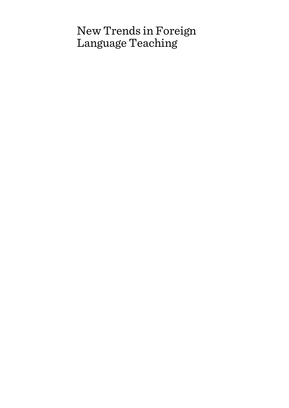# New Trends in Foreign Language Teaching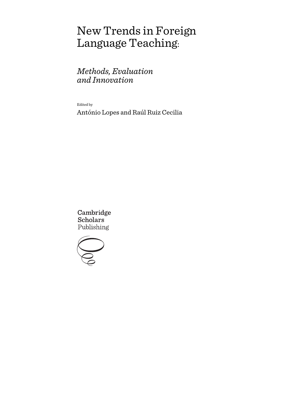# New Trends in Foreign Language Teaching:

# *Methods, Evaluation and Innovation*

Edited by

António Lopes and Raúl Ruiz Cecilia

Cambridge **Scholars** Publishing

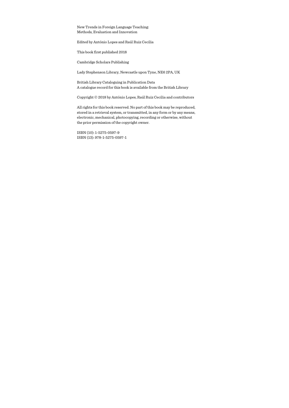New Trends in Foreign Language Teaching: Methods, Evaluation and Innovation

Edited by António Lopes and Raúl Ruiz Cecilia

This book first published 2018

Cambridge Scholars Publishing

Lady Stephenson Library, Newcastle upon Tyne, NE6 2PA, UK

British Library Cataloguing in Publication Data A catalogue record for this book is available from the British Library

Copyright © 2018 by António Lopes, Raúl Ruiz Cecilia and contributors

All rights for this book reserved. No part of this book may be reproduced, stored in a retrieval system, or transmitted, in any form or by any means, electronic, mechanical, photocopying, recording or otherwise, without the prior permission of the copyright owner.

ISBN (10): 1-5275-0597-9 ISBN (13): 978-1-5275-0597-1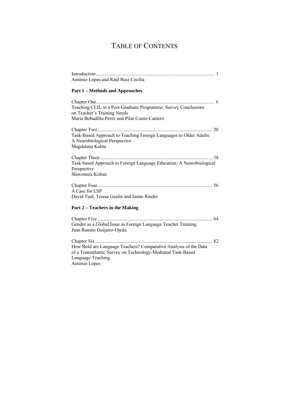# TABLE OF CONTENTS

| António Lopes and Raúl Ruiz Cecilia                                                                                                                                   |
|-----------------------------------------------------------------------------------------------------------------------------------------------------------------------|
| <b>Part 1 - Methods and Approaches</b>                                                                                                                                |
| Teaching CLIL in a Post-Graduate Programme: Survey Conclusions<br>on Teacher's Training Needs                                                                         |
| María Bobadilla-Pérez and Pilar Couto-Cantero                                                                                                                         |
|                                                                                                                                                                       |
| Task-Based Approach to Teaching Foreign Languages to Older Adults:<br>A Neurobiological Perspective<br>Magdalena Kalita                                               |
| Task-based Approach to Foreign Language Education: A Neurobiological<br>Perspective<br>Sławomira Kołsut                                                               |
| A Case for LSP<br>David Tual, Teresa Geslin and Jamie Rinder                                                                                                          |
| Part 2 – Teachers in the Making                                                                                                                                       |
| Gender as a Global Issue in Foreign Language Teacher Training<br>Juan Ramón Guijarro-Ojeda                                                                            |
| How Bold are Language Teachers? Comparative Analysis of the Data<br>of a Transatlantic Survey on Technology-Mediated Task-Based<br>Language Teaching<br>António Lopes |
|                                                                                                                                                                       |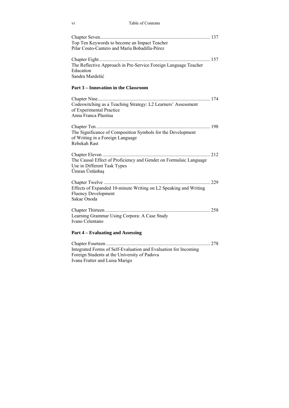#### vi Table of Contents

| Top Ten Keywords to become an Impact Teacher<br>Pilar Couto-Cantero and María Bobadilla-Pérez                      |  |
|--------------------------------------------------------------------------------------------------------------------|--|
| The Reflective Approach in Pre-Service Foreign Language Teacher<br>Education<br>Sandra Mardešić                    |  |
| Part 3 - Innovation in the Classroom                                                                               |  |
| Codeswitching as a Teaching Strategy: L2 Learners' Assessment<br>of Experimental Practice<br>Anna Franca Plastina  |  |
| The Significance of Composition Symbols for the Development<br>of Writing in a Foreign Language<br>Rebekah Rast    |  |
| The Causal Effect of Proficiency and Gender on Formulaic Language<br>Use in Different Task Types<br>Ümran Üstünbaş |  |
| Effects of Expanded 10-minute Writing on L2 Speaking and Writing<br><b>Fluency Development</b><br>Sakae Onoda      |  |
| Learning Grammar Using Corpora: A Case Study<br>Ivano Celentano                                                    |  |
| <b>Part 4 – Evaluating and Assessing</b>                                                                           |  |
| Integrated Forms of Self-Evaluation and Evaluation for Incoming<br>Foreign Students at the University of Padova    |  |

Ivana Fratter and Luisa Marigo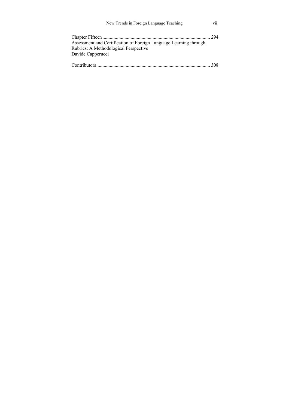| New Trends in Foreign Language Teaching                           | V11  |
|-------------------------------------------------------------------|------|
| Assessment and Certification of Foreign Language Learning through | 294  |
| Rubrics: A Methodological Perspective                             |      |
| Davide Capperucci                                                 |      |
|                                                                   | 308. |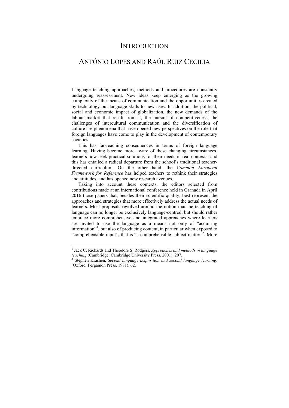### **INTRODUCTION**

## ANTÓNIO LOPES AND RAÚL RUIZ CECILIA

Language teaching approaches, methods and procedures are constantly undergoing reassessment. New ideas keep emerging as the growing complexity of the means of communication and the opportunities created by technology put language skills to new uses. In addition, the political, social and economic impact of globalization, the new demands of the labour market that result from it, the pursuit of competitiveness, the challenges of intercultural communication and the diversification of culture are phenomena that have opened new perspectives on the role that foreign languages have come to play in the development of contemporary societies.

This has far-reaching consequences in terms of foreign language learning. Having become more aware of these changing circumstances, learners now seek practical solutions for their needs in real contexts, and this has entailed a radical departure from the school's traditional teacherdirected curriculum. On the other hand, the *Common European Framework for Reference* has helped teachers to rethink their strategies and attitudes, and has opened new research avenues.

Taking into account these contexts, the editors selected from contributions made at an international conference held in Granada in April 2016 those papers that, besides their scientific quality, best represent the approaches and strategies that more effectively address the actual needs of learners. Most proposals revolved around the notion that the teaching of language can no longer be exclusively language-centred, but should rather embrace more comprehensive and integrated approaches where learners are invited to use the language as a means not only of "acquiring information"<sup>1</sup>, but also of producing content, in particular when exposed to "comprehensible input", that is "a comprehensible subject-matter"<sup>2</sup>. More

 1 Jack C. Richards and Theodore S. Rodgers, *Approaches and methods in language teaching* (Cambridge: Cambridge University Press, 2001), 207.

Stephen Krashen, *Second language acquisition and second language learning*. (Oxford: Pergamon Press, 1981), 62.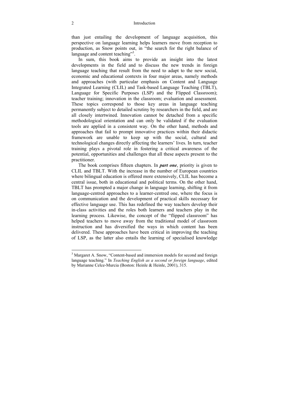than just entailing the development of language acquisition, this perspective on language learning helps learners move from reception to production, as Snow points out, in "the search for the right balance of language and content teaching"<sup>3</sup>.

In sum, this book aims to provide an insight into the latest developments in the field and to discuss the new trends in foreign language teaching that result from the need to adapt to the new social. economic and educational contexts in four major areas, namely methods and approaches (with particular emphasis on Content and Language Integrated Learning (CLIL) and Task-based Language Teaching (TBLT), Language for Specific Purposes (LSP) and the Flipped Classroom); teacher training; innovation in the classroom; evaluation and assessment. These topics correspond to those key areas in language teaching permanently subject to detailed scrutiny by researchers in the field, and are all closely intertwined. Innovation cannot be detached from a specific methodological orientation and can only be validated if the evaluation tools are applied in a consistent way. On the other hand, methods and approaches that fail to prompt innovative practices within their didactic framework are unable to keep up with the social, cultural and technological changes directly affecting the learners' lives. In turn, teacher training plays a pivotal role in fostering a critical awareness of the potential, opportunities and challenges that all these aspects present to the practitioner.

The book comprises fifteen chapters. In *part one*, priority is given to CLIL and TBLT. With the increase in the number of European countries where bilingual education is offered more extensively, CLIL has become a central issue, both in educational and political terms. On the other hand, TBLT has prompted a major change in language learning, shifting it from language-centred approaches to a learner-centred one, where the focus is on communication and the development of practical skills necessary for effective language use. This has redefined the way teachers develop their in-class activities and the roles both learners and teachers play in the learning process. Likewise, the concept of the "flipped classroom" has helped teachers to move away from the traditional model of classroom instruction and has diversified the ways in which content has been delivered. These approaches have been critical in improving the teaching of LSP, as the latter also entails the learning of specialised knowledge

 $\overline{a}$ 

<sup>&</sup>lt;sup>3</sup> Margaret A. Snow, "Content-based and immersion models for second and foreign language teaching." In *Teaching English as a second or foreign language*, edited by Marianne Celce-Murcia (Boston: Heinle & Heinle, 2001), 315.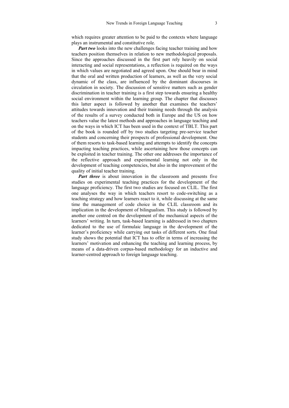which requires greater attention to be paid to the contexts where language plays an instrumental and constitutive role.

*Part two* looks into the new challenges facing teacher training and how teachers position themselves in relation to new methodological proposals. Since the approaches discussed in the first part rely heavily on social interacting and social representations, a reflection is required on the ways in which values are negotiated and agreed upon. One should bear in mind that the oral and written production of learners, as well as the very social dynamic of the class, are influenced by the dominant discourses in circulation in society. The discussion of sensitive matters such as gender discrimination in teacher training is a first step towards ensuring a healthy social environment within the learning group. The chapter that discusses this latter aspect is followed by another that examines the teachers' attitudes towards innovation and their training needs through the analysis of the results of a survey conducted both in Europe and the US on how teachers value the latest methods and approaches in language teaching and on the ways in which ICT has been used in the context of TBLT. This part of the book is rounded off by two studies targeting pre-service teacher students and concerning their prospects of professional development. One of them resorts to task-based learning and attempts to identify the concepts impacting teaching practices, while ascertaining how those concepts can be exploited in teacher training. The other one addresses the importance of the reflective approach and experimental learning not only in the development of teaching competencies, but also in the improvement of the quality of initial teacher training.

*Part three* is about innovation in the classroom and presents five studies on experimental teaching practices for the development of the language proficiency. The first two studies are focused on CLIL. The first one analyses the way in which teachers resort to code-switching as a teaching strategy and how learners react to it, while discussing at the same time the management of code choice in the CLIL classroom and its implication in the development of bilingualism. This study is followed by another one centred on the development of the mechanical aspects of the learners' writing. In turn, task-based learning is addressed in two chapters dedicated to the use of formulaic language in the development of the learner's proficiency while carrying out tasks of different sorts. One final study shows the potential that ICT has to offer in terms of increasing the learners' motivation and enhancing the teaching and learning process, by means of a data-driven corpus-based methodology for an inductive and learner-centred approach to foreign language teaching.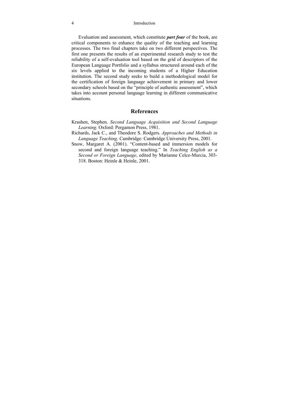4 Introduction

Evaluation and assessment, which constitute *part four* of the book, are critical components to enhance the quality of the teaching and learning processes. The two final chapters take on two different perspectives. The first one presents the results of an experimental research study to test the reliability of a self-evaluation tool based on the grid of descriptors of the European Language Portfolio and a syllabus structured around each of the six levels applied to the incoming students of a Higher Education institution. The second study seeks to build a methodological model for the certification of foreign language achievement in primary and lower secondary schools based on the "principle of authentic assessment", which takes into account personal language learning in different communicative situations.

#### **References**

- Krashen, Stephen. *Second Language Acquisition and Second Language Learning*. Oxford: Pergamon Press, 1981.
- Richards, Jack C., and Theodore S. Rodgers. *Approaches and Methods in Language Teaching*. Cambridge: Cambridge University Press, 2001.
- Snow, Margaret A. (2001). "Content-based and immersion models for second and foreign language teaching." In *Teaching English as a Second or Foreign Language*, edited by Marianne Celce-Murcia, 303- 318. Boston: Heinle & Heinle, 2001.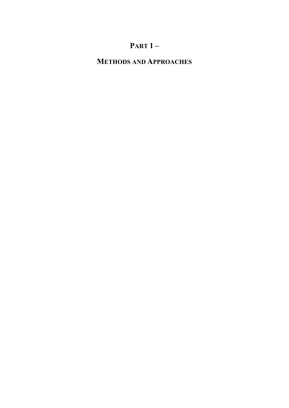# **PART 1 –**

# **METHODS AND APPROACHES**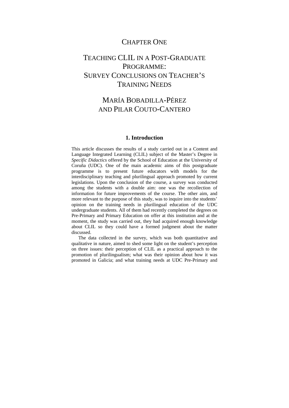### CHAPTER ONE

## TEACHING CLIL IN A POST-GRADUATE PROGRAMME: SURVEY CONCLUSIONS ON TEACHER'S TRAINING NEEDS

## MARÍA BOBADILLA-PÉREZ AND PILAR COUTO-CANTERO

#### **1. Introduction**

This article discusses the results of a study carried out in a Content and Language Integrated Learning (CLIL) subject of the Master's Degree in *Specific Didactics* offered by the School of Education at the University of Coruña (UDC). One of the main academic aims of this postgraduate programme is to present future educators with models for the interdisciplinary teaching and plurilingual approach promoted by current legislations. Upon the conclusion of the course, a survey was conducted among the students with a double aim: one was the recollection of information for future improvements of the course. The other aim, and more relevant to the purpose of this study, was to inquire into the students' opinion on the training needs in plurilingual education of the UDC undergraduate students. All of them had recently completed the degrees on Pre-Primary and Primary Education on offer at this institution and at the moment, the study was carried out, they had acquired enough knowledge about CLIL so they could have a formed judgment about the matter discussed.

The data collected in the survey, which was both quantitative and qualitative in nature, aimed to shed some light on the student's perception on three issues: their perception of CLIL as a practical approach to the promotion of plurilingualism; what was their opinion about how it was promoted in Galicia; and what training needs at UDC Pre-Primary and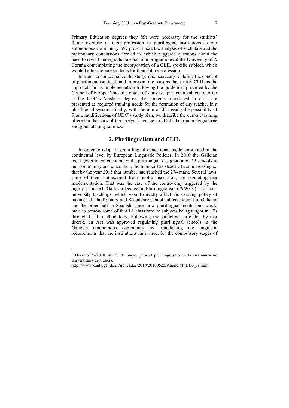Primary Education degrees they felt were necessary for the students' future exercise of their profession in plurilingual institutions in our autonomous community. We present here the analysis of such data and the preliminary conclusions arrived to, which triggered questions about the need to revisit undergraduate education programmes at the University of A Coruña contemplating the incorporation of a CLIL specific subject, which would better prepare students for their future profession.

In order to contextualize the study, it is necessary to define the concept of plurilingualism itself and to present the reasons that justify CLIL as the approach for its implementation following the guidelines provided by the Council of Europe. Since the object of study is a particular subject on offer at the UDC's Master's degree, the contents introduced in class are presented as required training needs for the formation of any teacher in a plurilingual system. Finally, with the aim of discussing the possibility of future modifications of UDC's study plan, we describe the current training offered in didactics of the foreign language and CLIL both in undergraduate and graduate programmes.

#### **2. Plurilingualism and CLIL**

In order to adopt the plurilingual educational model promoted at the continental level by European Linguistic Policies, in 2010 the Galician local government encouraged the plurilingual designation of 52 schools in our community and since then, the number has steadily been increasing so that by the year 2015 that number had reached the 274 mark. Several laws, some of them not exempt from public discussion, are regulating that implementation*.* That was the case of the controversy triggered by the highly criticised "Galician Decree on Plurilingualism (79/2010)"<sup>1</sup> for nonuniversity teachings, which would directly affect the existing policy of having half the Primary and Secondary school subjects taught in Galician and the other half in Spanish, since now plurilingual institutions would have to bestow some of that L1 class time to subjects being taught in L2s through CLIL methodology. Following the guidelines provided by that decree, an Act was approved regulating plurilingual schools in the Galician autonomous community by establishing the linguistic requirements that the institutions must meet for the compulsory stages of

 1 Decreto 79/2010, de 20 de mayo, para el plurilingüismo en la enseñanza no universitaria de Galicia.

http://www.xunta.gal/dog/Publicados/2010/20100525/Anuncio17BE6\_es.html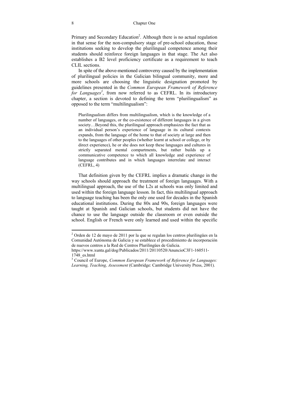Primary and Secondary Education<sup>2</sup>. Although there is no actual regulation in that sense for the non-compulsory stage of pre-school education, those institutions seeking to develop the plurilingual competence among their students should reinforce foreign languages in that stage. The Act also establishes a B2 level proficiency certificate as a requirement to teach CLIL sections.

In spite of the above-mentioned controversy caused by the implementation of plurilingual policies in the Galician bilingual community, more and more schools are choosing the linguistic designation promoted by guidelines presented in the *Common European Framework of Reference*  for Languages<sup>3</sup>, from now referred to as CEFRL. In its introductory chapter, a section is devoted to defining the term "plurilingualism" as opposed to the term "multilingualism":

Plurilingualism differs from multilingualism, which is the knowledge of a number of languages, or the co-existence of different languages in a given society...Beyond this, the plurilingual approach emphasizes the fact that as an individual person's experience of language in its cultural contexts expands, from the language of the home to that of society at large and then to the languages of other peoples (whether learnt at school or college, or by direct experience), he or she does not keep these languages and cultures in strictly separated mental compartments, but rather builds up a communicative competence to which all knowledge and experience of language contributes and in which languages interrelate and interact (CEFRL, 4)

That definition given by the CEFRL implies a dramatic change in the way schools should approach the treatment of foreign languages. With a multilingual approach, the use of the L2s at schools was only limited and used within the foreign language lesson. In fact, this multilingual approach to language teaching has been the only one used for decades in the Spanish educational institutions. During the 80s and 90s, foreign languages were taught at Spanish and Galician schools, but students did not have the chance to use the language outside the classroom or even outside the school. English or French were only learned and used within the specific

 2 Orden de 12 de mayo de 2011 por la que se regulan los centros plurilingües en la Comunidad Autónoma de Galicia y se establece el procedimiento de incorporación de nuevos centros a la Red de Centros Plurilingües de Galicia.

https://www.xunta.gal/dog/Publicados/2011/20110520/AnuncioC3F1-160511- 1748\_es.html

<sup>3</sup> Council of Europe, *Common European Framework of Reference for Languages: Learning, Teaching, Assessment* (Cambridge: Cambridge University Press, 2001).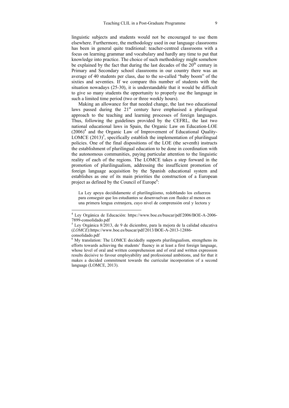linguistic subjects and students would not be encouraged to use them elsewhere. Furthermore, the methodology used in our language classrooms has been in general quite traditional: teacher-centred classrooms with a focus on learning grammar and vocabulary and hardly any time to put that knowledge into practice. The choice of such methodology might somehow be explained by the fact that during the last decades of the  $20<sup>th</sup>$  century in Primary and Secondary school classrooms in our country there was an average of 40 students per class, due to the so-called "baby boom" of the sixties and seventies. If we compare this number of students with the situation nowadays (25-30), it is understandable that it would be difficult to give so many students the opportunity to properly use the language in such a limited time period (two or three weekly hours).

Making an allowance for that needed change, the last two educational laws passed during the  $21<sup>st</sup>$  century have emphasised a plurilingual approach to the teaching and learning processes of foreign languages. Thus, following the guidelines provided by the CEFRL, the last two national educational laws in Spain, the Organic Law on Education-LOE  $(2006)^4$  and the Organic Law of Improvement of Educational Quality-LOMCE  $(2013)^5$ , specifically establish the implementation of plurilingual policies. One of the final dispositions of the LOE (the seventh) instructs the establishment of plurilingual education to be done in coordination with the autonomous communities, paying particular attention to the linguistic reality of each of the regions. The LOMCE takes a step forward in the promotion of plurilingualism, addressing the insufficient promotion of foreign language acquisition by the Spanish educational system and establishes as one of its main priorities the construction of a European project as defined by the Council of Europe<sup>6</sup>:

La Ley apoya decididamente el plurilingüismo, redoblando los esfuerzos para conseguir que los estudiantes se desenvuelvan con fluidez al menos en una primera lengua extranjera, cuyo nivel de comprensión oral y lectora y

1

<sup>4</sup> Ley Orgánica de Educación: https://www.boe.es/buscar/pdf/2006/BOE-A-2006- 7899-consolidado.pdf

 $5$  Ley Orgánica 8/2013, de 9 de diciembre, para la mejora de la calidad educativa (*LOMCE*):https://www.boe.es/buscar/pdf/2013/BOE-A-2013-12886 consolidado.pdf

<sup>&</sup>lt;sup>6</sup> My translation: The LOMCE decidedly supports plurilingualism, strengthens its efforts towards achieving the students' fluency in at least a first foreign language, whose level of oral and written comprehension and of oral and written expression results decisive to favour employability and professional ambitions, and for that it makes a decided commitment towards the curricular incorporation of a second language (LOMCE, 2013).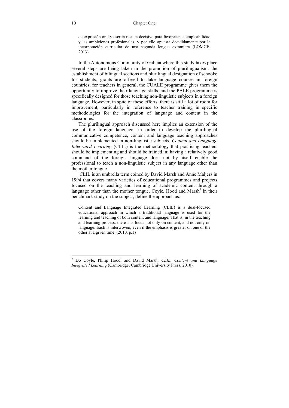de expresión oral y escrita resulta decisivo para favorecer la empleabilidad y las ambiciones profesionales, y por ello apuesta decididamente por la incorporación curricular de una segunda lengua extranjera (LOMCE, 2013).

In the Autonomous Community of Galicia where this study takes place several steps are being taken in the promotion of plurilingualism: the establishment of bilingual sections and plurilingual designation of schools; for students, grants are offered to take language courses in foreign countries; for teachers in general, the CUALE programme gives them the opportunity to improve their language skills, and the PALE programme is specifically designed for those teaching non-linguistic subjects in a foreign language. However, in spite of these efforts, there is still a lot of room for improvement, particularly in reference to teacher training in specific methodologies for the integration of language and content in the classrooms.

The plurilingual approach discussed here implies an extension of the use of the foreign language; in order to develop the plurilingual communicative competence, content and language teaching approaches should be implemented in non-linguistic subjects. *Content and Language Integrated Learning* (CLIL) is the methodology that practising teachers should be implementing and should be trained in; having a relatively good command of the foreign language does not by itself enable the professional to teach a non-linguistic subject in any language other than the mother tongue.

 CLIL is an umbrella term coined by David Marsh and Anne Maljers in 1994 that covers many varieties of educational programmes and projects focused on the teaching and learning of academic content through a language other than the mother tongue. Coyle, Hood and Marsh<sup>7</sup> in their benchmark study on the subject, define the approach as:

Content and Language Integrated Learning (CLIL) is a dual-focused educational approach in which a traditional language is used for the learning and teaching of both content and language. That is, in the teaching and learning process, there is a focus not only on content, and not only on language. Each is interwoven, even if the emphasis is greater on one or the other at a given time. (2010, p.1)

 $\overline{a}$ 

<sup>7</sup> Do Coyle, Philip Hood, and David Marsh, *CLIL. Content and Language Integrated Learning* (Cambridge: Cambridge University Press, 2010).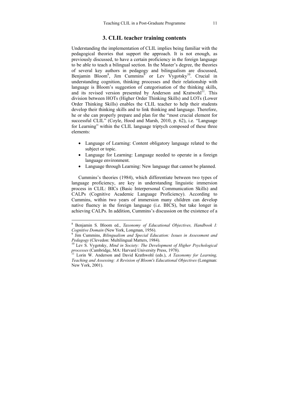#### **3. CLIL teacher training contents**

Understanding the implementation of CLIL implies being familiar with the pedagogical theories that support the approach. It is not enough, as previously discussed, to have a certain proficiency in the foreign language to be able to teach a bilingual section. In the Master's degree, the theories of several key authors in pedagogy and bilingualism are discussed, Benjamin Bloom<sup>8</sup>, Jim Cummins<sup>9</sup> or Lev Vygotsky<sup>10</sup>. Crucial in understanding cognition, thinking processes and their relationship with language is Bloom's suggestion of categorisation of the thinking skills, and its revised version presented by Anderson and Kratwohl<sup>11</sup>. This division between HOTs (Higher Order Thinking Skills) and LOTs (Lower Order Thinking Skills) enables the CLIL teacher to help their students develop their thinking skills and to link thinking and language. Therefore, he or she can properly prepare and plan for the "most crucial element for successful CLIL" (Coyle, Hood and Marsh, 2010, p. 62), i.e. "Language for Learning" within the CLIL language triptych composed of these three elements:

- Language of Learning: Content obligatory language related to the subject or topic.
- Language for Learning: Language needed to operate in a foreign language environment.
- Language through Learning: New language that cannot be planned.

Cummins's theories (1984), which differentiate between two types of language proficiency, are key in understanding linguistic immersion process in CLIL: BICs (Basic Interpersonal Communication Skills) and CALPs (Cognitive Academic Language Proficiency). According to Cummins, within two years of immersion many children can develop native fluency in the foreign language (i.e. BICS), but take longer in achieving CALPs. In addition, Cummins's discussion on the existence of a

1

<sup>8</sup> Benjamin S. Bloom ed., *Taxonomy of Educational Objectives, Handbook I: Cognitive Domain* (New York, Longman, 1956).

<sup>&</sup>lt;sup>9</sup> Jim Cummins, *Bilingualism and Special Education: Issues in Assessment and <i>Pedagogy* (Clevedon: Multilingual Matters, 1984).

<sup>&</sup>lt;sup>10</sup> Lev S. Vygotsky, *Mind in Society: The Development of Higher Psychological processes* (Cambridge, MA: Harvard University Press, 1978).<br><sup>11</sup> Lorin W. Anderson and David Krathwohl (eds.), *A Taxonomy for Learning*,

*Teaching and Assessing: A Revision of Bloom's Educational Objectives* (Longman: New York, 2001).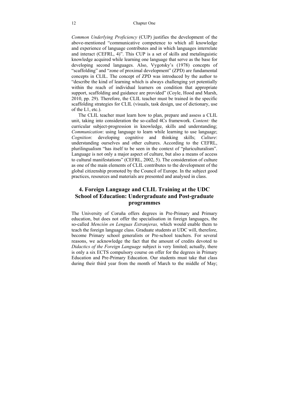#### 12 Chapter One

*Common Underlying Proficiency* (CUP) justifies the development of the above-mentioned "communicative competence to which all knowledge and experience of language contributes and in which languages interrelate and interact (CEFRL, 4)". This CUP is a set of skills and metalinguistic knowledge acquired while learning one language that serve as the base for developing second languages. Also, Vygotsky's (1978) concepts of "scaffolding" and "zone of proximal development" (ZPD) are fundamental concepts in CLIL. The concept of ZPD was introduced by the author to "describe the kind of learning which is always challenging yet potentially within the reach of individual learners on condition that appropriate support, scaffolding and guidance are provided" (Coyle, Hood and Marsh, 2010, pp. 29). Therefore, the CLIL teacher must be trained in the specific scaffolding strategies for CLIL (visuals, task design, use of dictionary, use of the L1, etc.).

The CLIL teacher must learn how to plan, prepare and assess a CLIL unit, taking into consideration the so-called 4Cs framework. *Content:* the curricular subject-progression in knowledge, skills and understanding; *Communication*: using language to learn while learning to use language; *Cognition*: developing cognitive and thinking skills; *Culture*: understanding ourselves and other cultures. According to the CEFRL, plurilingualism "has itself to be seen in the context of "pluriculturalism". Language is not only a major aspect of culture, but also a means of access to cultural manifestations" (CEFRL, 2002, 5). The consideration of culture as one of the main elements of CLIL contributes to the development of the global citizenship promoted by the Council of Europe. In the subject good practices, resources and materials are presented and analysed in class.

#### **4. Foreign Language and CLIL Training at the UDC School of Education: Undergraduate and Post-graduate programmes**

The University of Coruña offers degrees in Pre-Primary and Primary education, but does not offer the specialisation in foreign languages, the so-called *Mención en Lenguas Extranjeras,* which would enable them to teach the foreign language class. Graduate students at UDC will, therefore, become Primary school generalists or Pre-school teachers. For several reasons, we acknowledge the fact that the amount of credits devoted to *Didactics of the Foreign Language* subject is very limited; actually, there is only a six ECTS compulsory course on offer for the degrees in Primary Education and Pre-Primary Education. Our students must take that class during their third year from the month of March to the middle of May;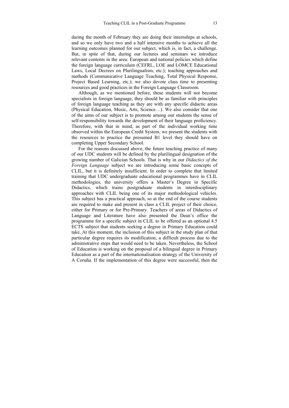during the month of February they are doing their internships at schools, and so we only have two and a half intensive months to achieve all the learning outcomes planned for our subject, which is, in fact, a challenge. But, in spite of that, during our lectures and seminars we introduce relevant contents in the area: European and national policies which define the foreign language curriculum (CEFRL, LOE and LOMCE Educational Laws, Local Decrees on Plurilingualism, etc.); teaching approaches and methods (Communicative Language Teaching, Total Physical Response, Project Based Learning, etc.); we also devote class time to presenting resources and good practices in the Foreign Language Classroom.

Although, as we mentioned before, these students will not become specialists in foreign language, they should be as familiar with principles of foreign language teaching as they are with any specific didactic areas (Physical Education, Music, Arts, Science…). We also consider that one of the aims of our subject is to promote among our students the sense of self-responsibility towards the development of their language proficiency. Therefore, with that in mind, as part of the individual working time observed within the European Credit System, we present the students with the resources to practice the presumed B1 level they should have on completing Upper Secondary School.

For the reasons discussed above, the future teaching practice of many of our UDC students will be defined by the plurilingual designation of the growing number of Galician Schools. That is why in our *Didactics of the Foreign Language* subject we are introducing some basic concepts of CLIL, but it is definitely insufficient. In order to complete that limited training that UDC undergraduate educational programmes have in CLIL methodologies, the university offers a Master's Degree in Specific Didactics, which trains postgraduate students in interdisciplinary approaches with CLIL being one of its major methodological vehicles. This subject has a practical approach, so at the end of the course students are required to make and present in class a CLIL project of their choice, either for Primary or for Pre-Primary. Teachers of areas of Didactics of Language and Literature have also presented the Dean's office the programme for a specific subject in CLIL to be offered as an optional 4.5 ECTS subject that students seeking a degree in Primary Education could take. At this moment, the inclusion of this subject in the study plan of that particular degree requires its modification, a difficult process due to the administrative steps that would need to be taken. Nevertheless, the School of Education is working on the proposal of a bilingual degree in Primary Education as a part of the internationalisation strategy of the University of A Coruña. If the implementation of this degree were successful, then the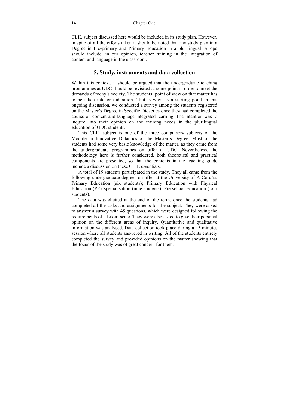CLIL subject discussed here would be included in its study plan. However, in spite of all the efforts taken it should be noted that any study plan in a Degree in Pre-primary and Primary Education in a plurilingual Europe should include, in our opinion, teacher training in the integration of content and language in the classroom.

#### **5. Study, instruments and data collection**

Within this context, it should be argued that the undergraduate teaching programmes at UDC should be revisited at some point in order to meet the demands of today's society. The students' point of view on that matter has to be taken into consideration. That is why, as a starting point in this ongoing discussion, we conducted a survey among the students registered on the Master's Degree in Specific Didactics once they had completed the course on content and language integrated learning. The intention was to inquire into their opinion on the training needs in the plurilingual education of UDC students.

This CLIL subject is one of the three compulsory subjects of the Module in Innovative Didactics of the Master's Degree. Most of the students had some very basic knowledge of the matter, as they came from the undergraduate programmes on offer at UDC. Nevertheless, the methodology here is further considered, both theoretical and practical components are presented, so that the contents in the teaching guide include a discussion on these CLIL essentials.

A total of 19 students participated in the study. They all came from the following undergraduate degrees on offer at the University of A Coruña: Primary Education (six students); Primary Education with Physical Education (PE) Specialisation (nine students); Pre-school Education (four students).

The data was elicited at the end of the term, once the students had completed all the tasks and assignments for the subject. They were asked to answer a survey with 45 questions, which were designed following the requirements of a Likert scale. They were also asked to give their personal opinion on the different areas of inquiry. Quantitative and qualitative information was analysed. Data collection took place during a 45 minutes session where all students answered in writing. All of the students entirely completed the survey and provided opinions on the matter showing that the focus of the study was of great concern for them.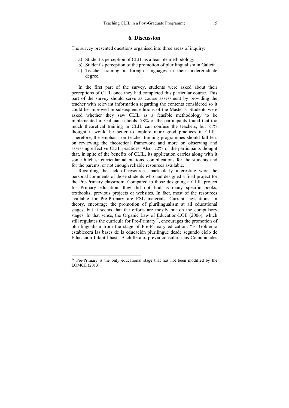#### **6. Discussion**

The survey presented questions organised into three areas of inquiry:

- a) Student's perception of CLIL as a feasible methodology.
- b) Student's perception of the promotion of plurilingualism in Galicia.
- c) Teacher training in foreign languages in their undergraduate degree.

In the first part of the survey, students were asked about their perceptions of CLIL once they had completed this particular course. This part of the survey should serve as course assessment by providing the teacher with relevant information regarding the contents considered so it could be improved in subsequent editions of the Master's. Students were asked whether they saw CLIL as a feasible methodology to be implemented in Galician schools. 78% of the participants found that too much theoretical training in CLIL can confuse the teachers, but 81% thought it would be better to explore more good practices in CLIL. Therefore, the emphasis on teacher training programmes should fall less on reviewing the theoretical framework and more on observing and assessing effective CLIL practices. Also, 72% of the participants thought that, in spite of the benefits of CLIL, its application carries along with it some hitches: curricular adaptations, complications for the students and for the parents, or not enough reliable resources available.

Regarding the lack of resources, particularly interesting were the personal comments of those students who had designed a final project for the Pre-Primary classroom. Compared to those designing a CLIL project for Primary education, they did not find as many specific books, textbooks, previous projects or websites. In fact, most of the resources available for Pre-Primary are ESL materials. Current legislations, in theory, encourage the promotion of plurilingualism at all educational stages, but it seems that the efforts are mostly put on the compulsory stages. In that sense, the Organic Law of Education-LOE (2006), which still regulates the curricula for Pre-Primary<sup>12</sup>, encourages the promotion of plurilingualism from the stage of Pre-Primary education: "El Gobierno establecerá las bases de la educación plurilingüe desde segundo ciclo de Educación Infantil hasta Bachillerato, previa consulta a las Comunidades

 $\overline{a}$ 

 $12$  Pre-Primary is the only educational stage that has not been modified by the LOMCE (2013).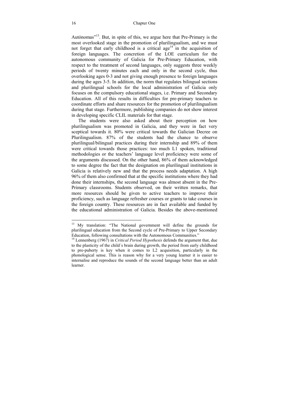Autónomas"13. But, in spite of this, we argue here that Pre-Primary is the most overlooked stage in the promotion of plurilingualism, and we must not forget that early childhood is a critical age<sup>14</sup> in the acquisition of foreign languages. The concretion of the LOE curriculum for the autonomous community of Galicia for Pre-Primary Education, with respect to the treatment of second languages, only suggests three weekly periods of twenty minutes each and only in the second cycle, thus overlooking ages 0-3 and not giving enough presence to foreign languages during the ages 3-5. In addition, the norm that regulates bilingual sections and plurilingual schools for the local administration of Galicia only focuses on the compulsory educational stages, i.e. Primary and Secondary Education. All of this results in difficulties for pre-primary teachers to coordinate efforts and share resources for the promotion of plurilingualism during that stage. Furthermore, publishing companies do not show interest in developing specific CLIL materials for that stage.

The students were also asked about their perception on how plurilingualism was promoted in Galicia, and they were in fact very sceptical towards it. 80% were critical towards the Galician Decree on Plurilingualism. 87% of the students had the chance to observe plurilingual/bilingual practices during their internship and 89% of them were critical towards those practices: too much L1 spoken, traditional methodologies or the teachers' language level proficiency were some of the arguments discussed. On the other hand, 86% of them acknowledged to some degree the fact that the designation on plurilingual institutions in Galicia is relatively new and that the process needs adaptation. A high 96% of them also confirmed that at the specific institutions where they had done their internships, the second language was almost absent in the Pre-Primary classrooms. Students observed, on their written remarks, that more resources should be given to active teachers to improve their proficiency, such as language refresher courses or grants to take courses in the foreign country. These resources are in fact available and funded by the educational administration of Galicia. Besides the above-mentioned

1

<sup>&</sup>lt;sup>13</sup> My translation: "The National government will define the grounds for plurilingual education from the Second cycle of Pre-Primary to Upper Secondary Education, following consultations with the Autonomous Communities."

<sup>14</sup> Lennenberg (1967) in *Critical Period Hypothesis* defends the argument that, due to the plasticity of the child´s brain during growth, the period from early childhood to pre-puberty is key when it comes to L2 acquisition, particularly in the phonological sense. This is reason why for a very young learner it is easier to internalise and reproduce the sounds of the second language better than an adult learner.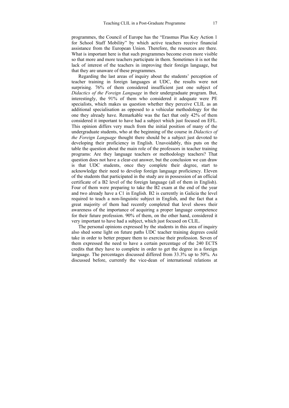programmes, the Council of Europe has the "Erasmus Plus Key Action 1 for School Staff Mobility" by which active teachers receive financial assistance from the European Union. Therefore, the resources are there. What is important here is that such programmes become even more visible so that more and more teachers participate in them. Sometimes it is not the lack of interest of the teachers in improving their foreign language, but that they are unaware of these programmes.

Regarding the last areas of inquiry about the students' perception of teacher training in foreign languages at UDC, the results were not surprising. 76% of them considered insufficient just one subject of *Didactics of the Foreign Language* in their undergraduate program. But, interestingly, the 91% of them who considered it adequate were PE specialists, which makes us question whether they perceive CLIL as an additional specialisation as opposed to a vehicular methodology for the one they already have. Remarkable was the fact that only 42% of them considered it important to have had a subject which just focused on EFL. This opinion differs very much from the initial position of many of the undergraduate students, who at the beginning of the course in *Didactics of the Foreign Language* thought there should be a subject just devoted to developing their proficiency in English. Unavoidably, this puts on the table the question about the main role of the professors in teacher training programs: Are they language teachers or methodology teachers? That question does not have a clear-cut answer, but the conclusion we can draw is that UDC students, once they complete their degree, start to acknowledge their need to develop foreign language proficiency. Eleven of the students that participated in the study are in possession of an official certificate of a B2 level of the foreign language (all of them in English). Four of them were preparing to take the B2 exam at the end of the year and two already have a C1 in English. B2 is currently in Galicia the level required to teach a non-linguistic subject in English, and the fact that a great majority of them had recently completed that level shows their awareness of the importance of acquiring a proper language competence for their future profession. 90% of them, on the other hand, considered it very important to have had a subject, which just focused on CLIL.

The personal opinions expressed by the students in this area of inquiry also shed some light on future paths UDC teacher training degrees could take in order to better prepare them to exercise their profession. Seven of them expressed the need to have a certain percentage of the 240 ECTS credits that they have to complete in order to get the degree in a foreign language. The percentages discussed differed from 33.3% up to 50%. As discussed before, currently the vice-dean of international relations at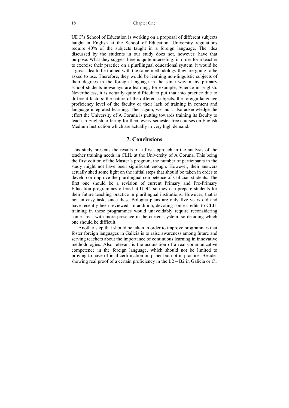UDC's School of Education is working on a proposal of different subjects taught in English at the School of Education. University regulations require 40% of the subjects taught in a foreign language. The idea discussed by the students in our study does not, however, have that purpose. What they suggest here is quite interesting: in order for a teacher to exercise their practice on a plurilingual educational system, it would be a great idea to be trained with the same methodology they are going to be asked to use. Therefore, they would be learning non-linguistic subjects of their degrees in the foreign language in the same way many primary school students nowadays are learning, for example, Science in English. Nevertheless, it is actually quite difficult to put that into practice due to different factors: the nature of the different subjects, the foreign language proficiency level of the faculty or their lack of training in content and language integrated learning. Then again, we must also acknowledge the effort the University of A Coruña is putting towards training its faculty to teach in English, offering for them every semester free courses on English Medium Instruction which are actually in very high demand.

#### **7. Conclusions**

This study presents the results of a first approach in the analysis of the teacher training needs in CLIL at the University of A Coruña. This being the first edition of the Master's program, the number of participants in the study might not have been significant enough. However, their answers actually shed some light on the initial steps that should be taken in order to develop or improve the plurilingual competence of Galician students. The first one should be a revision of current Primary and Pre-Primary Education programmes offered at UDC, so they can prepare students for their future teaching practice in plurilingual institutions. However, that is not an easy task, since these Bologna plans are only five years old and have recently been reviewed. In addition, devoting some credits to CLIL training in these programmes would unavoidably require reconsidering some areas with more presence in the current system, so deciding which one should be difficult.

Another step that should be taken in order to improve programmes that foster foreign languages in Galicia is to raise awareness among future and serving teachers about the importance of continuous learning in innovative methodologies. Also relevant is the acquisition of a real communicative competence in the foreign language, which should not be limited to proving to have official certification on paper but not in practice. Besides showing real proof of a certain proficiency in the  $L2 - B2$  in Galicia or C1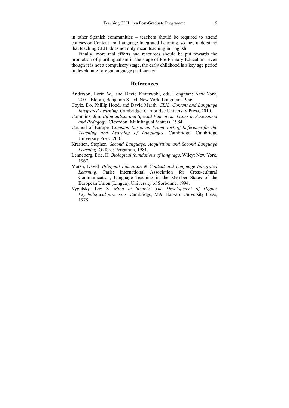in other Spanish communities – teachers should be required to attend courses on Content and Language Integrated Learning, so they understand that teaching CLIL does not only mean teaching in English.

Finally, more real efforts and resources should be put towards the promotion of plurilingualism in the stage of Pre-Primary Education. Even though it is not a compulsory stage, the early childhood is a key age period in developing foreign language proficiency.

#### **References**

- Anderson, Lorin W., and David Krathwohl, eds. Longman: New York, 2001. Bloom, Benjamin S., ed*.* New York, Longman, 1956.
- Coyle, Do, Phillip Hood, and David Marsh. *CLIL. Content and Language Integrated Learning.* Cambridge: Cambridge University Press, 2010.
- Cummins, Jim. *Bilingualism and Special Education: Issues in Assessment and Pedagogy*. Clevedon: Multilingual Matters, 1984.
- Council of Europe. *Common European Framework of Reference for the Teaching and Learning of Languages*. Cambridge: Cambridge University Press, 2001.
- Krashen, Stephen*. Second Language. Acquisition and Second Language Learning*. Oxford: Pergamon, 1981.
- Lenneberg, Eric. H. *Biological foundations of language*. Wiley: New York, 1967.
- Marsh, David*. Bilingual Education & Content and Language Integrated Learning*. Paris: International Association for Cross-cultural Communication, Language Teaching in the Member States of the European Union (Lingua), University of Sorbonne, 1994.
- Vygotsky, Lev S. *Mind in Society: The Development of Higher Psychological processes*. Cambridge, MA: Harvard University Press, 1978.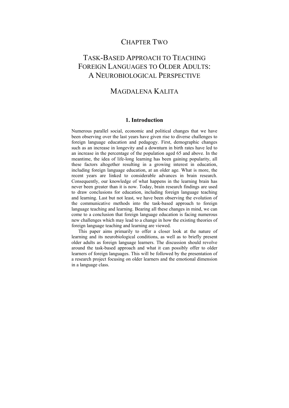### CHAPTER TWO

# TASK-BASED APPROACH TO TEACHING FOREIGN LANGUAGES TO OLDER ADULTS: A NEUROBIOLOGICAL PERSPECTIVE

### MAGDALENA KALITA

#### **1. Introduction**

Numerous parallel social, economic and political changes that we have been observing over the last years have given rise to diverse challenges to foreign language education and pedagogy. First, demographic changes such as an increase in longevity and a downturn in birth rates have led to an increase in the percentage of the population aged 65 and above. In the meantime, the idea of life-long learning has been gaining popularity, all these factors altogether resulting in a growing interest in education, including foreign language education, at an older age. What is more, the recent years are linked to considerable advances in brain research. Consequently, our knowledge of what happens in the learning brain has never been greater than it is now. Today, brain research findings are used to draw conclusions for education, including foreign language teaching and learning. Last but not least, we have been observing the evolution of the communicative methods into the task-based approach to foreign language teaching and learning. Bearing all these changes in mind, we can come to a conclusion that foreign language education is facing numerous new challenges which may lead to a change in how the existing theories of foreign language teaching and learning are viewed.

This paper aims primarily to offer a closer look at the nature of learning and its neurobiological conditions, as well as to briefly present older adults as foreign language learners. The discussion should revolve around the task-based approach and what it can possibly offer to older learners of foreign languages. This will be followed by the presentation of a research project focusing on older learners and the emotional dimension in a language class.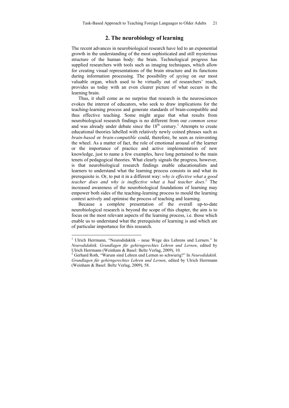#### **2. The neurobiology of learning**

The recent advances in neurobiological research have led to an exponential growth in the understanding of the most sophisticated and still mysterious structure of the human body: the brain. Technological progress has supplied researchers with tools such as imaging techniques, which allow for creating visual representations of the brain structure and its functions during information processing. The possibility of *spying* on our most valuable organ, which used to be virtually out of researchers' reach, provides us today with an even clearer picture of what occurs in the learning brain.

Thus, it shall come as no surprise that research in the neurosciences evokes the interest of educators, who seek to draw implications for the teaching-learning process and generate standards of brain-compatible and thus effective teaching. Some might argue that what results from neurobiological research findings is no different from our *common sense* and was already under debate since the  $18<sup>th</sup>$  century.<sup>1</sup> Attempts to create educational theories labelled with relatively newly coined phrases such as *brain-based* or *brain-compatible* could, therefore, be seen as reinventing the wheel. As a matter of fact, the role of emotional arousal of the learner or the importance of practice and active implementation of new knowledge, just to name a few examples, have long pertained to the main tenets of pedagogical theories. What clearly signals the progress, however, is that neurobiological research findings enable educationalists and learners to understand what the learning process consists in and what its prerequisite is. Or, to put it in a different way: *why is effective what a good teacher does and why is ineffective what a bad teacher does*. 2 The increased awareness of the neurobiological foundations of learning may empower both sides of the teaching-learning process to mould the learning context actively and optimise the process of teaching and learning.

Because a complete presentation of the overall up-to-date neurobiological research is beyond the scope of this chapter, the aim is to focus on the most relevant aspects of the learning process, i.e. those which enable us to understand what the prerequisite of learning is and which are of particular importance for this research.

1

<sup>&</sup>lt;sup>1</sup> Ulrich Herrmann, "Neurodidaktik – neue Wege des Lehrens und Lerners." In *Neurodidaktik. Grundlagen für gehirngerechtes Lehren und Lernen*, edited by Ulrich Herrmann (Weinham & Basel: Beltz Verlag, 2009), 10.

Gerhard Roth, "Warum sind Lehren und Lernen so schwierig?" In *Neurodidaktik. Grundlagen für gehirngerechtes Lehren und Lernen*, edited by Ulrich Herrmann (Weinham & Basel: Beltz Verlag, 2009), 58.